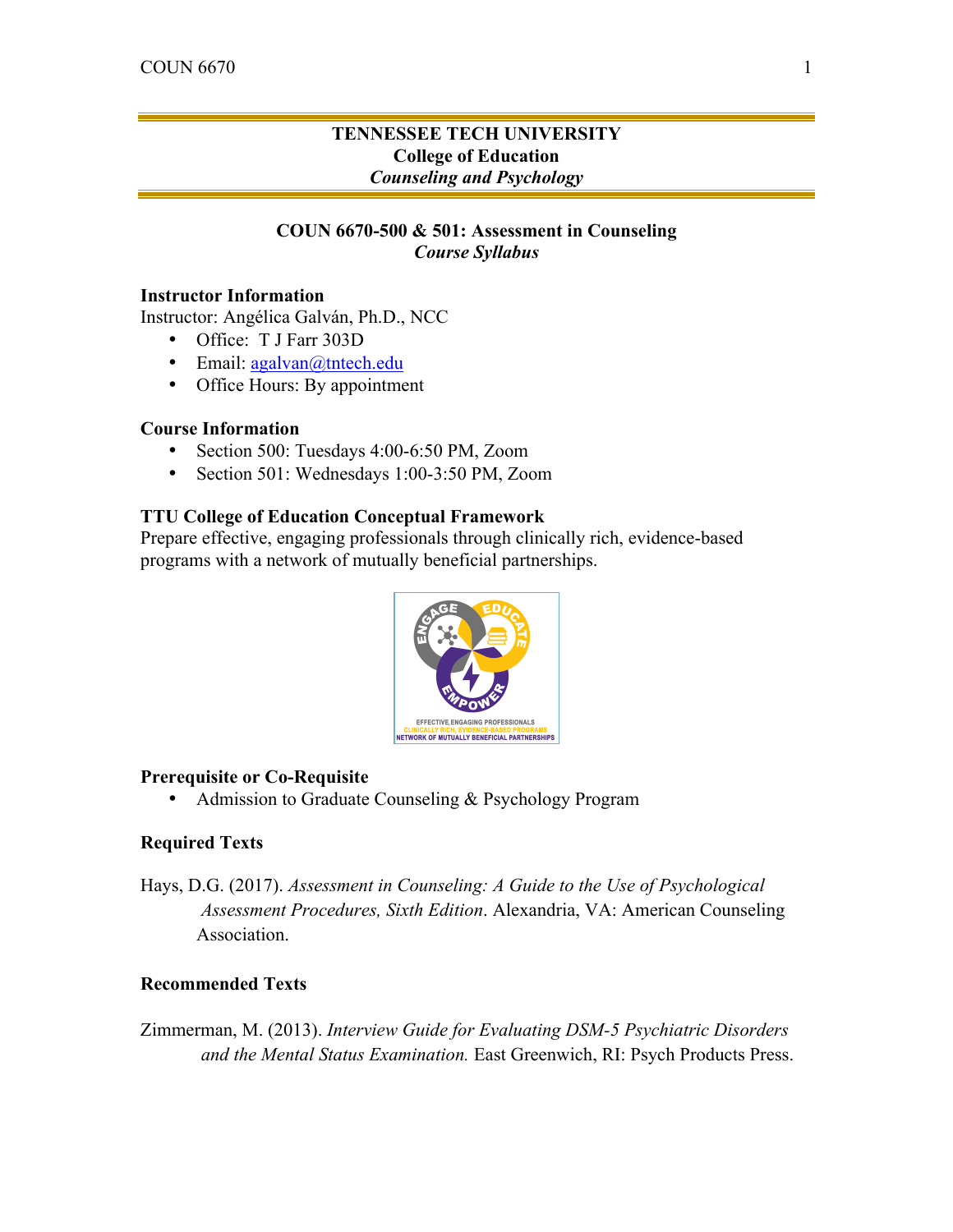# **TENNESSEE TECH UNIVERSITY College of Education** *Counseling and Psychology*

# **COUN 6670-500 & 501: Assessment in Counseling** *Course Syllabus*

#### **Instructor Information**

Instructor: Angélica Galván, Ph.D., NCC

- Office: T J Farr 303D
- Email: agalvan@tntech.edu
- Office Hours: By appointment

## **Course Information**

- Section 500: Tuesdays 4:00-6:50 PM, Zoom
- Section 501: Wednesdays 1:00-3:50 PM, Zoom

#### **TTU College of Education Conceptual Framework**

Prepare effective, engaging professionals through clinically rich, evidence-based programs with a network of mutually beneficial partnerships.



#### **Prerequisite or Co-Requisite**

• Admission to Graduate Counseling & Psychology Program

### **Required Texts**

Hays, D.G. (2017). *Assessment in Counseling: A Guide to the Use of Psychological Assessment Procedures, Sixth Edition*. Alexandria, VA: American Counseling Association.

### **Recommended Texts**

Zimmerman, M. (2013). *Interview Guide for Evaluating DSM-5 Psychiatric Disorders and the Mental Status Examination.* East Greenwich, RI: Psych Products Press.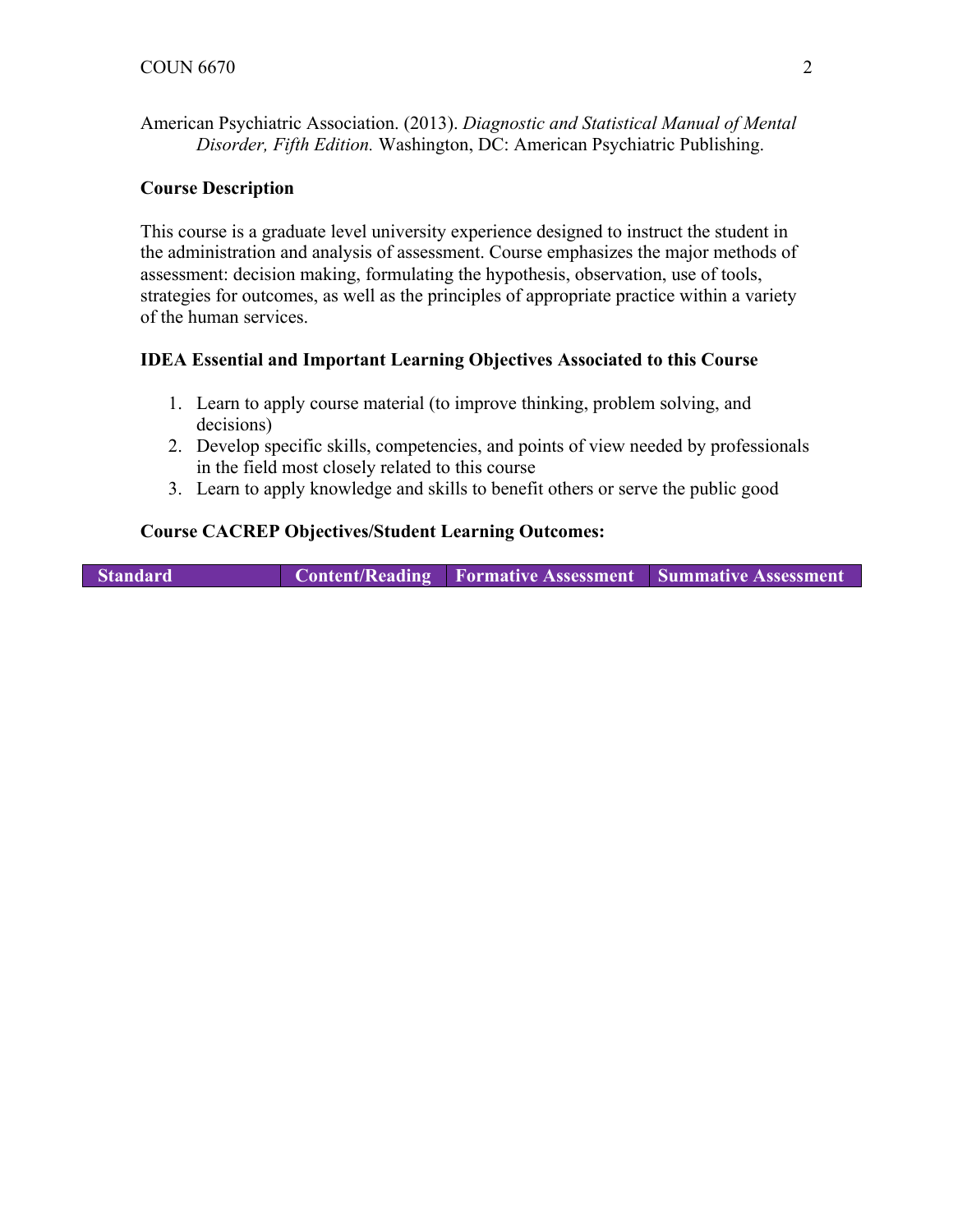American Psychiatric Association. (2013). *Diagnostic and Statistical Manual of Mental Disorder, Fifth Edition.* Washington, DC: American Psychiatric Publishing.

### **Course Description**

This course is a graduate level university experience designed to instruct the student in the administration and analysis of assessment. Course emphasizes the major methods of assessment: decision making, formulating the hypothesis, observation, use of tools, strategies for outcomes, as well as the principles of appropriate practice within a variety of the human services.

## **IDEA Essential and Important Learning Objectives Associated to this Course**

- 1. Learn to apply course material (to improve thinking, problem solving, and decisions)
- 2. Develop specific skills, competencies, and points of view needed by professionals in the field most closely related to this course
- 3. Learn to apply knowledge and skills to benefit others or serve the public good

## **Course CACREP Objectives/Student Learning Outcomes:**

**Standard Content/Reading Formative Assessment Summative Assessment**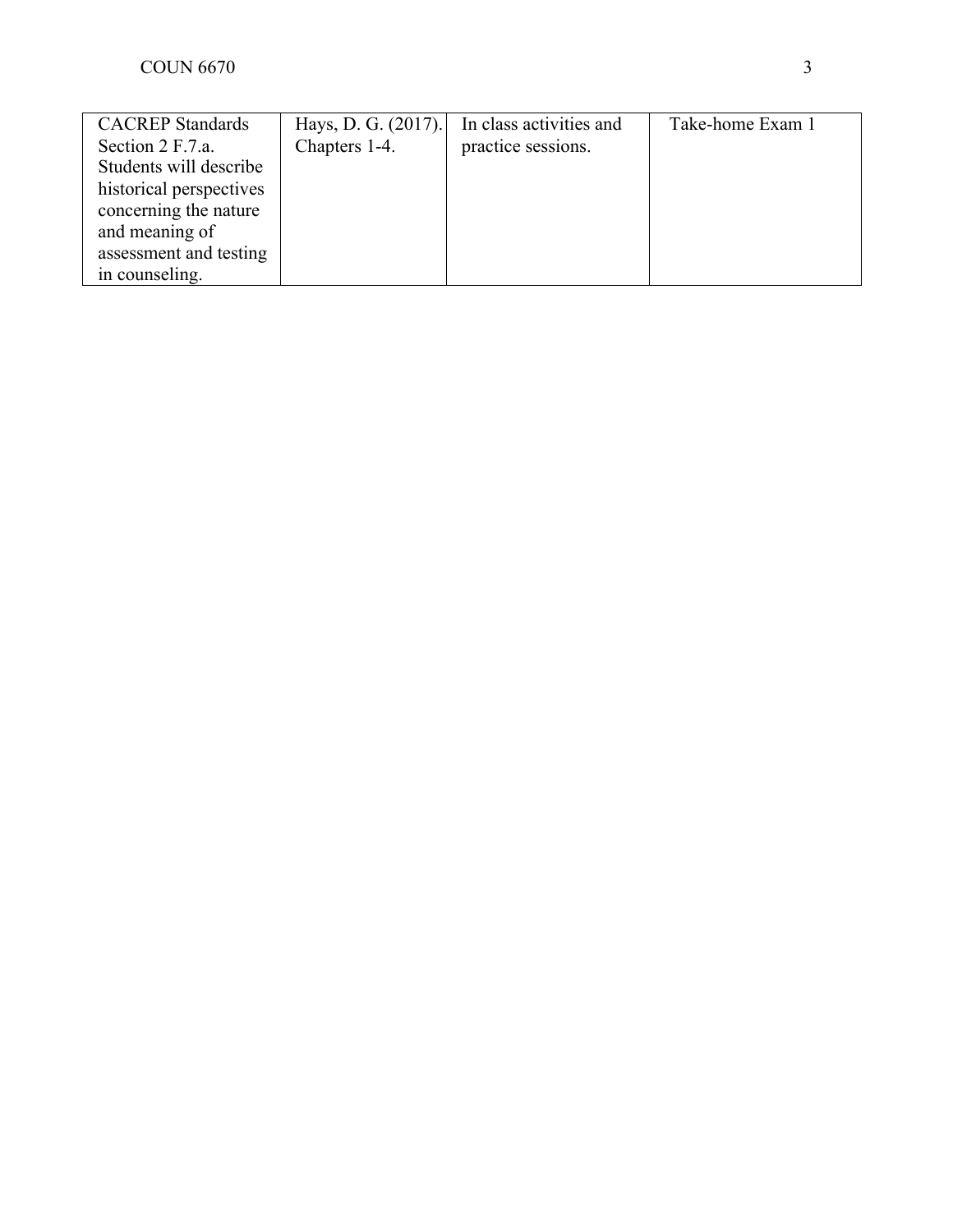| <b>CACREP</b> Standards | Hays, D. G. (2017). | In class activities and | Take-home Exam 1 |
|-------------------------|---------------------|-------------------------|------------------|
| Section 2 F.7.a.        | Chapters 1-4.       | practice sessions.      |                  |
| Students will describe  |                     |                         |                  |
| historical perspectives |                     |                         |                  |
| concerning the nature   |                     |                         |                  |
| and meaning of          |                     |                         |                  |
| assessment and testing  |                     |                         |                  |
| in counseling.          |                     |                         |                  |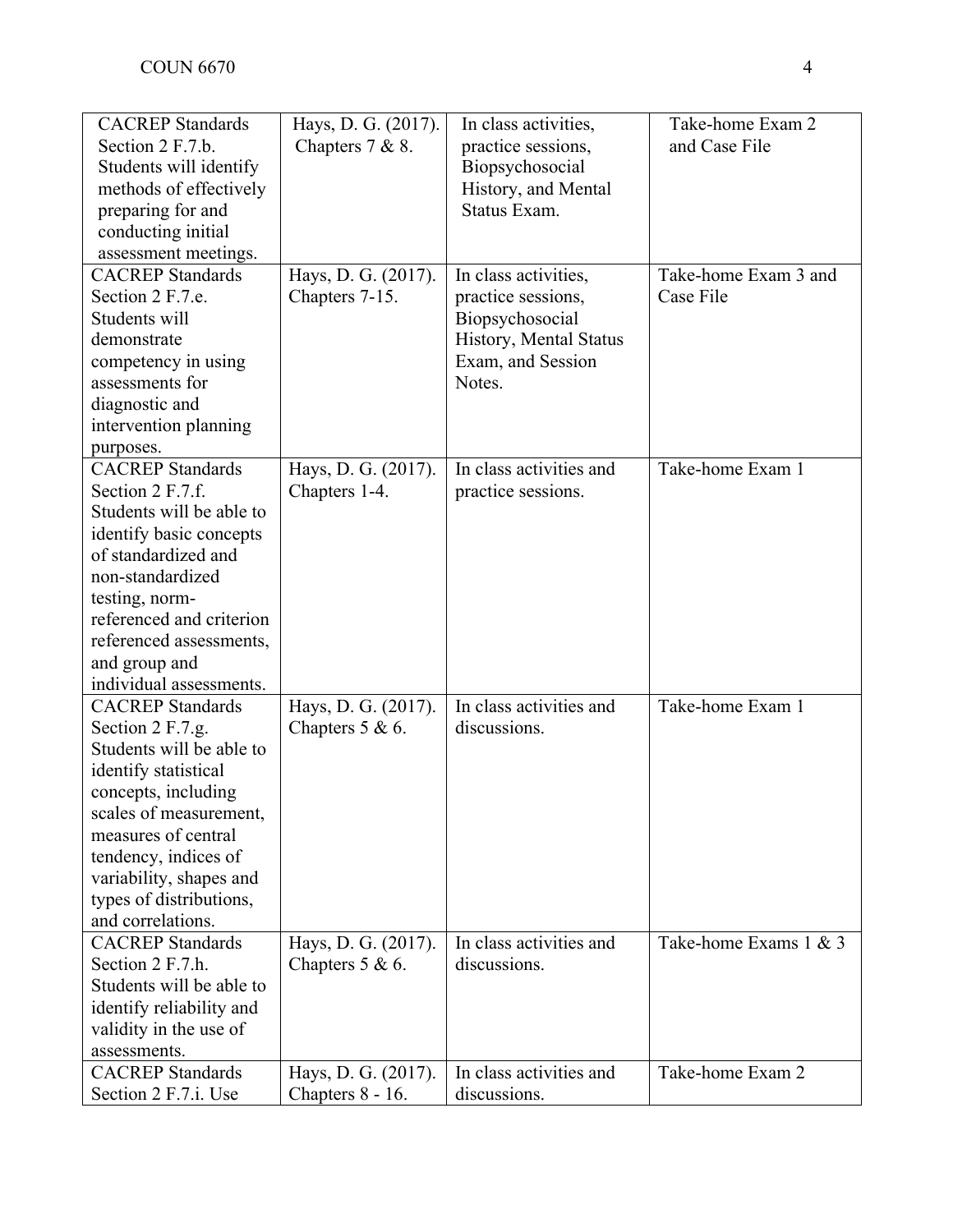| <b>CACREP</b> Standards  | Hays, D. G. (2017). | In class activities,    | Take-home Exam 2      |
|--------------------------|---------------------|-------------------------|-----------------------|
| Section 2 F.7.b.         | Chapters $7 & 8$ .  | practice sessions,      | and Case File         |
| Students will identify   |                     | Biopsychosocial         |                       |
| methods of effectively   |                     | History, and Mental     |                       |
| preparing for and        |                     | Status Exam.            |                       |
| conducting initial       |                     |                         |                       |
| assessment meetings.     |                     |                         |                       |
| <b>CACREP</b> Standards  | Hays, D. G. (2017). | In class activities,    | Take-home Exam 3 and  |
| Section 2 F.7.e.         | Chapters 7-15.      | practice sessions,      | Case File             |
| Students will            |                     | Biopsychosocial         |                       |
| demonstrate              |                     | History, Mental Status  |                       |
| competency in using      |                     | Exam, and Session       |                       |
| assessments for          |                     | Notes.                  |                       |
| diagnostic and           |                     |                         |                       |
| intervention planning    |                     |                         |                       |
| purposes.                |                     |                         |                       |
| <b>CACREP</b> Standards  | Hays, D. G. (2017). | In class activities and | Take-home Exam 1      |
| Section 2 F.7.f.         | Chapters 1-4.       | practice sessions.      |                       |
| Students will be able to |                     |                         |                       |
| identify basic concepts  |                     |                         |                       |
| of standardized and      |                     |                         |                       |
| non-standardized         |                     |                         |                       |
| testing, norm-           |                     |                         |                       |
| referenced and criterion |                     |                         |                       |
| referenced assessments,  |                     |                         |                       |
| and group and            |                     |                         |                       |
| individual assessments.  |                     |                         |                       |
| <b>CACREP</b> Standards  | Hays, D. G. (2017). | In class activities and | Take-home Exam 1      |
| Section 2 F.7.g.         | Chapters $5 & 6$ .  | discussions.            |                       |
| Students will be able to |                     |                         |                       |
| identify statistical     |                     |                         |                       |
| concepts, including      |                     |                         |                       |
| scales of measurement,   |                     |                         |                       |
| measures of central      |                     |                         |                       |
| tendency, indices of     |                     |                         |                       |
| variability, shapes and  |                     |                         |                       |
| types of distributions,  |                     |                         |                       |
| and correlations.        |                     |                         |                       |
| <b>CACREP</b> Standards  | Hays, D. G. (2017). | In class activities and | Take-home Exams 1 & 3 |
| Section 2 F.7.h.         | Chapters $5 & 6$ .  | discussions.            |                       |
| Students will be able to |                     |                         |                       |
| identify reliability and |                     |                         |                       |
| validity in the use of   |                     |                         |                       |
| assessments.             |                     |                         |                       |
| <b>CACREP</b> Standards  | Hays, D. G. (2017). | In class activities and | Take-home Exam 2      |
| Section 2 F.7.i. Use     | Chapters 8 - 16.    | discussions.            |                       |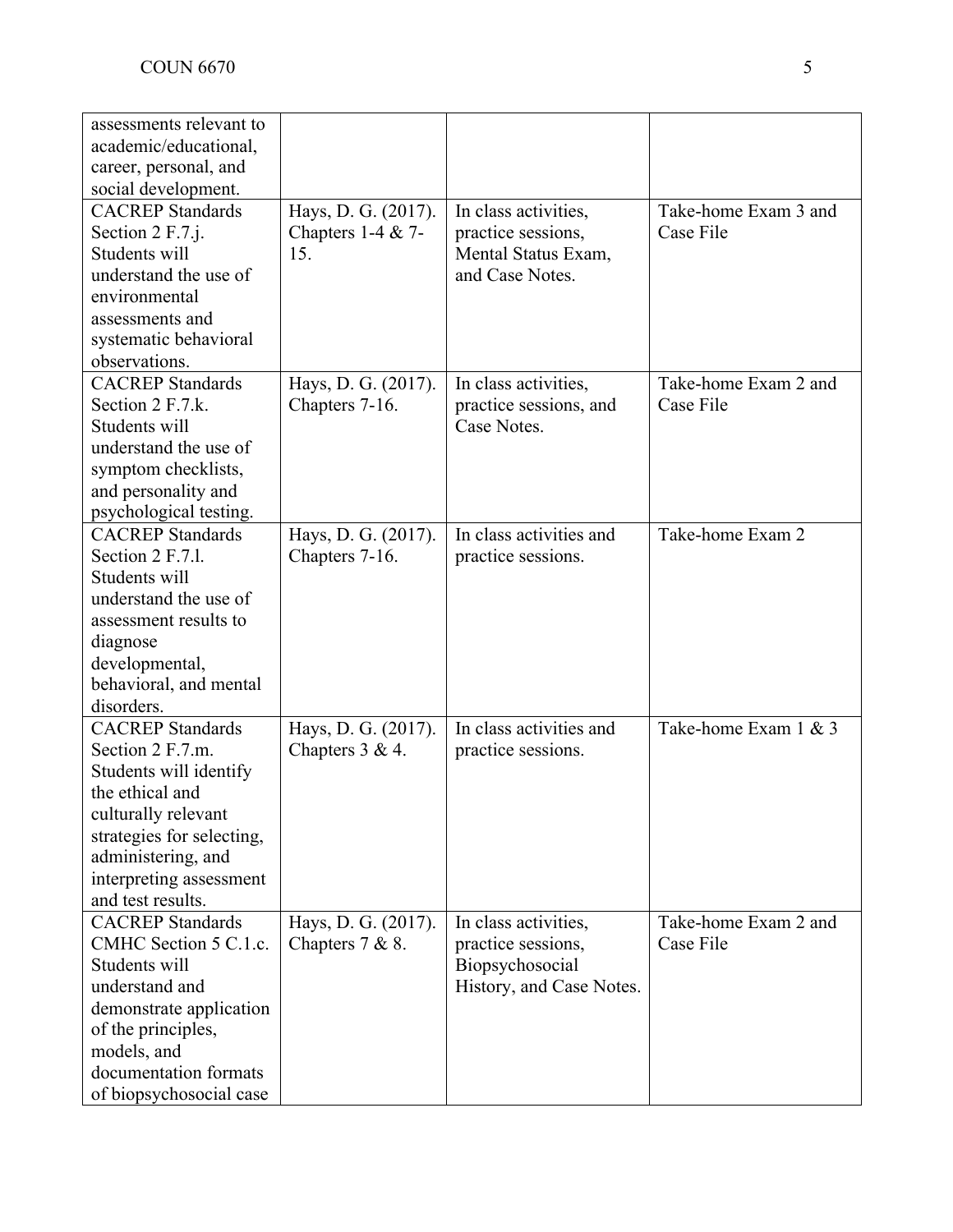| assessments relevant to<br>academic/educational,<br>career, personal, and<br>social development.  |  |
|---------------------------------------------------------------------------------------------------|--|
|                                                                                                   |  |
|                                                                                                   |  |
|                                                                                                   |  |
|                                                                                                   |  |
| Take-home Exam 3 and<br><b>CACREP</b> Standards<br>Hays, D. G. (2017).<br>In class activities,    |  |
| Case File<br>Section 2 F.7.j.<br>Chapters 1-4 $&$ 7-<br>practice sessions,                        |  |
| Students will<br>Mental Status Exam,<br>15.                                                       |  |
| and Case Notes.<br>understand the use of                                                          |  |
| environmental                                                                                     |  |
| assessments and                                                                                   |  |
| systematic behavioral                                                                             |  |
| observations.                                                                                     |  |
| <b>CACREP</b> Standards<br>In class activities,<br>Take-home Exam 2 and<br>Hays, D. G. (2017).    |  |
| Section 2 F.7.k.<br>practice sessions, and<br>Case File<br>Chapters 7-16.                         |  |
| Case Notes.<br>Students will                                                                      |  |
| understand the use of                                                                             |  |
| symptom checklists,                                                                               |  |
| and personality and                                                                               |  |
| psychological testing.                                                                            |  |
| <b>CACREP</b> Standards<br>In class activities and<br>Take-home Exam 2<br>Hays, D. G. (2017).     |  |
| Section 2 F.7.1.<br>Chapters 7-16.<br>practice sessions.                                          |  |
| Students will                                                                                     |  |
| understand the use of                                                                             |  |
| assessment results to                                                                             |  |
| diagnose                                                                                          |  |
| developmental,                                                                                    |  |
| behavioral, and mental                                                                            |  |
| disorders.                                                                                        |  |
| In class activities and<br><b>CACREP</b> Standards<br>Take-home Exam 1 & 3<br>Hays, D. G. (2017). |  |
| Section 2 F.7.m.<br>Chapters $3 & 4$ .<br>practice sessions.                                      |  |
| Students will identify                                                                            |  |
| the ethical and                                                                                   |  |
| culturally relevant                                                                               |  |
| strategies for selecting,                                                                         |  |
| administering, and                                                                                |  |
| interpreting assessment                                                                           |  |
| and test results.                                                                                 |  |
| <b>CACREP</b> Standards<br>Hays, D. G. (2017).<br>Take-home Exam 2 and<br>In class activities,    |  |
| CMHC Section 5 C.1.c.<br>Case File<br>Chapters $7 & 8$ .<br>practice sessions,                    |  |
| Students will<br>Biopsychosocial                                                                  |  |
| understand and<br>History, and Case Notes.                                                        |  |
| demonstrate application                                                                           |  |
| of the principles,                                                                                |  |
|                                                                                                   |  |
|                                                                                                   |  |
| models, and<br>documentation formats                                                              |  |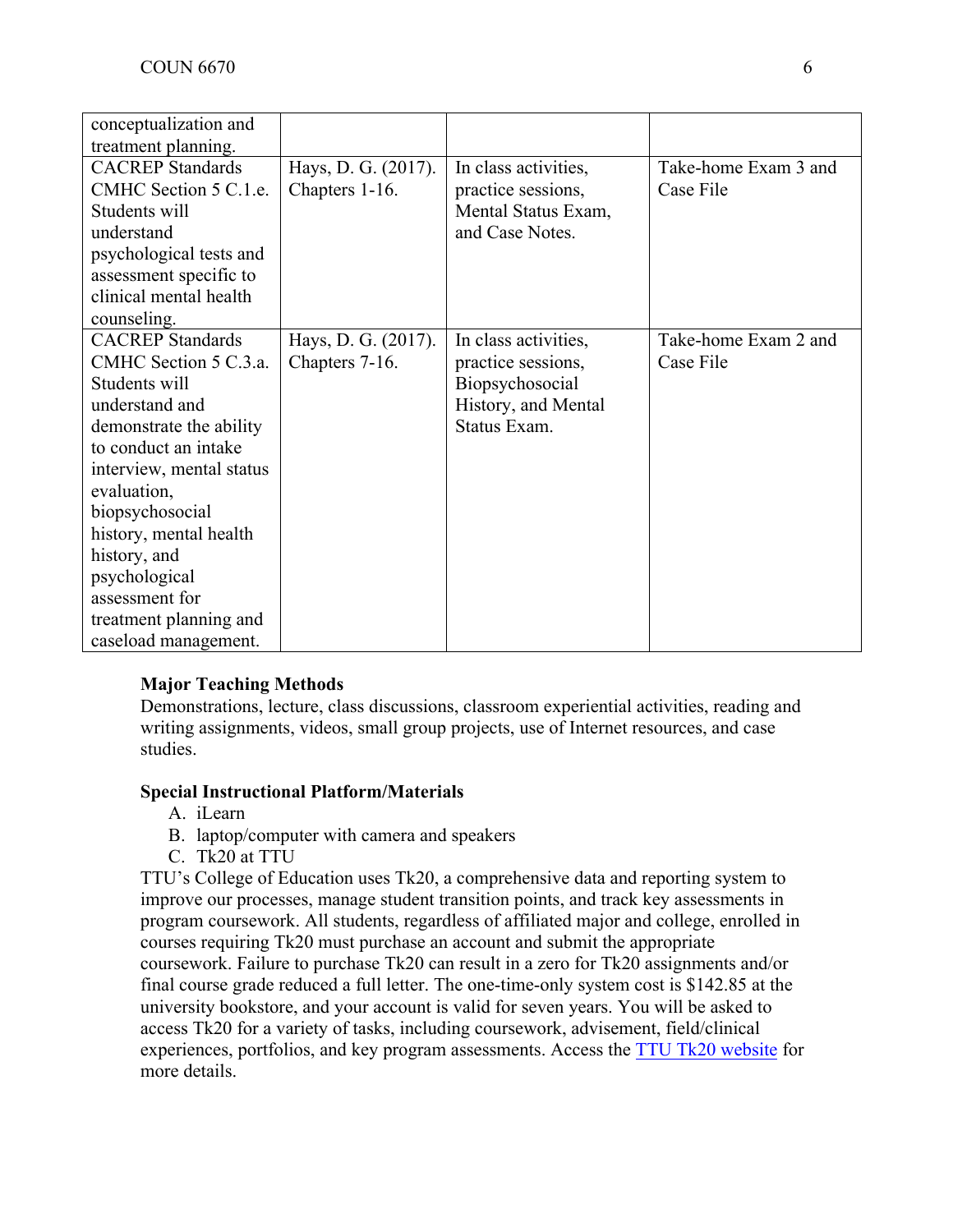| conceptualization and    |                     |                      |                      |
|--------------------------|---------------------|----------------------|----------------------|
| treatment planning.      |                     |                      |                      |
| <b>CACREP</b> Standards  | Hays, D. G. (2017). | In class activities, | Take-home Exam 3 and |
| CMHC Section 5 C.1.e.    | Chapters 1-16.      | practice sessions,   | Case File            |
| Students will            |                     | Mental Status Exam,  |                      |
| understand               |                     | and Case Notes.      |                      |
| psychological tests and  |                     |                      |                      |
| assessment specific to   |                     |                      |                      |
| clinical mental health   |                     |                      |                      |
| counseling.              |                     |                      |                      |
| <b>CACREP</b> Standards  | Hays, D. G. (2017). | In class activities, | Take-home Exam 2 and |
| CMHC Section 5 C.3.a.    | Chapters 7-16.      | practice sessions,   | Case File            |
| Students will            |                     | Biopsychosocial      |                      |
| understand and           |                     | History, and Mental  |                      |
| demonstrate the ability  |                     | Status Exam.         |                      |
| to conduct an intake     |                     |                      |                      |
| interview, mental status |                     |                      |                      |
| evaluation,              |                     |                      |                      |
| biopsychosocial          |                     |                      |                      |
| history, mental health   |                     |                      |                      |
| history, and             |                     |                      |                      |
| psychological            |                     |                      |                      |
| assessment for           |                     |                      |                      |
| treatment planning and   |                     |                      |                      |
| caseload management.     |                     |                      |                      |

# **Major Teaching Methods**

Demonstrations, lecture, class discussions, classroom experiential activities, reading and writing assignments, videos, small group projects, use of Internet resources, and case studies.

# **Special Instructional Platform/Materials**

- A. iLearn
- B. laptop/computer with camera and speakers
- C. Tk20 at TTU

TTU's College of Education uses Tk20, a comprehensive data and reporting system to improve our processes, manage student transition points, and track key assessments in program coursework. All students, regardless of affiliated major and college, enrolled in courses requiring Tk20 must purchase an account and submit the appropriate coursework. Failure to purchase Tk20 can result in a zero for Tk20 assignments and/or final course grade reduced a full letter. The one-time-only system cost is \$142.85 at the university bookstore, and your account is valid for seven years. You will be asked to access Tk20 for a variety of tasks, including coursework, advisement, field/clinical experiences, portfolios, and key program assessments. Access the TTU Tk20 website for more details.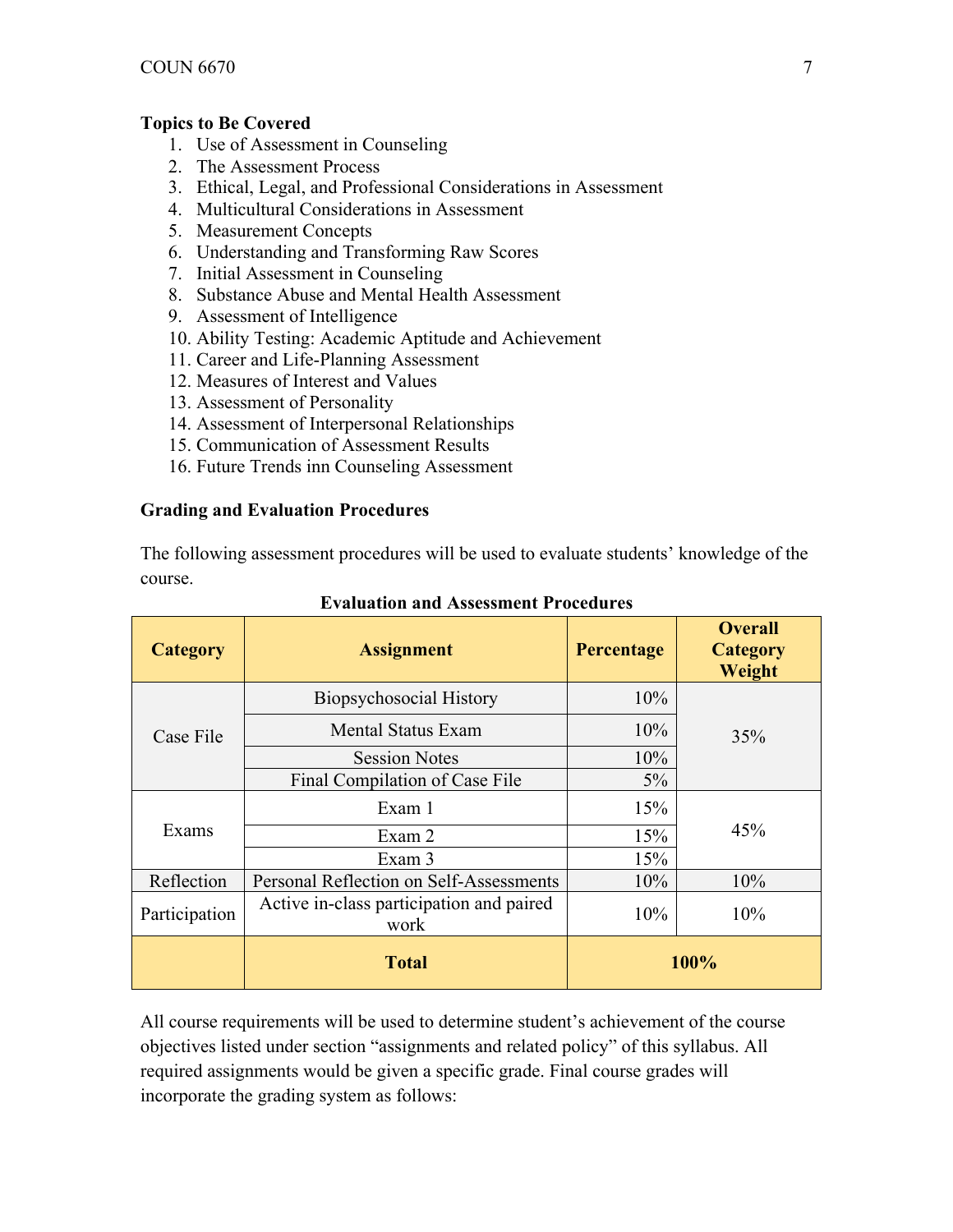## **Topics to Be Covered**

- 1. Use of Assessment in Counseling
- 2. The Assessment Process
- 3. Ethical, Legal, and Professional Considerations in Assessment
- 4. Multicultural Considerations in Assessment
- 5. Measurement Concepts
- 6. Understanding and Transforming Raw Scores
- 7. Initial Assessment in Counseling
- 8. Substance Abuse and Mental Health Assessment
- 9. Assessment of Intelligence
- 10. Ability Testing: Academic Aptitude and Achievement
- 11. Career and Life-Planning Assessment
- 12. Measures of Interest and Values
- 13. Assessment of Personality
- 14. Assessment of Interpersonal Relationships
- 15. Communication of Assessment Results
- 16. Future Trends inn Counseling Assessment

### **Grading and Evaluation Procedures**

The following assessment procedures will be used to evaluate students' knowledge of the course.

| <b>Category</b> | <b>Assignment</b>                                | Percentage | <b>Overall</b><br><b>Category</b><br>Weight |
|-----------------|--------------------------------------------------|------------|---------------------------------------------|
|                 | Biopsychosocial History                          | 10%        |                                             |
| Case File       | <b>Mental Status Exam</b>                        | 10%        | 35%                                         |
|                 | <b>Session Notes</b>                             | $10\%$     |                                             |
|                 | Final Compilation of Case File                   | $5\%$      |                                             |
| Exams           | Exam 1                                           | 15%        |                                             |
|                 | Exam 2                                           | 15%        | 45%                                         |
|                 | Exam 3                                           | 15%        |                                             |
| Reflection      | Personal Reflection on Self-Assessments          | 10%        | 10%                                         |
| Participation   | Active in-class participation and paired<br>work | 10%        | 10%                                         |
|                 | <b>Total</b>                                     |            | 100%                                        |

### **Evaluation and Assessment Procedures**

All course requirements will be used to determine student's achievement of the course objectives listed under section "assignments and related policy" of this syllabus. All required assignments would be given a specific grade. Final course grades will incorporate the grading system as follows: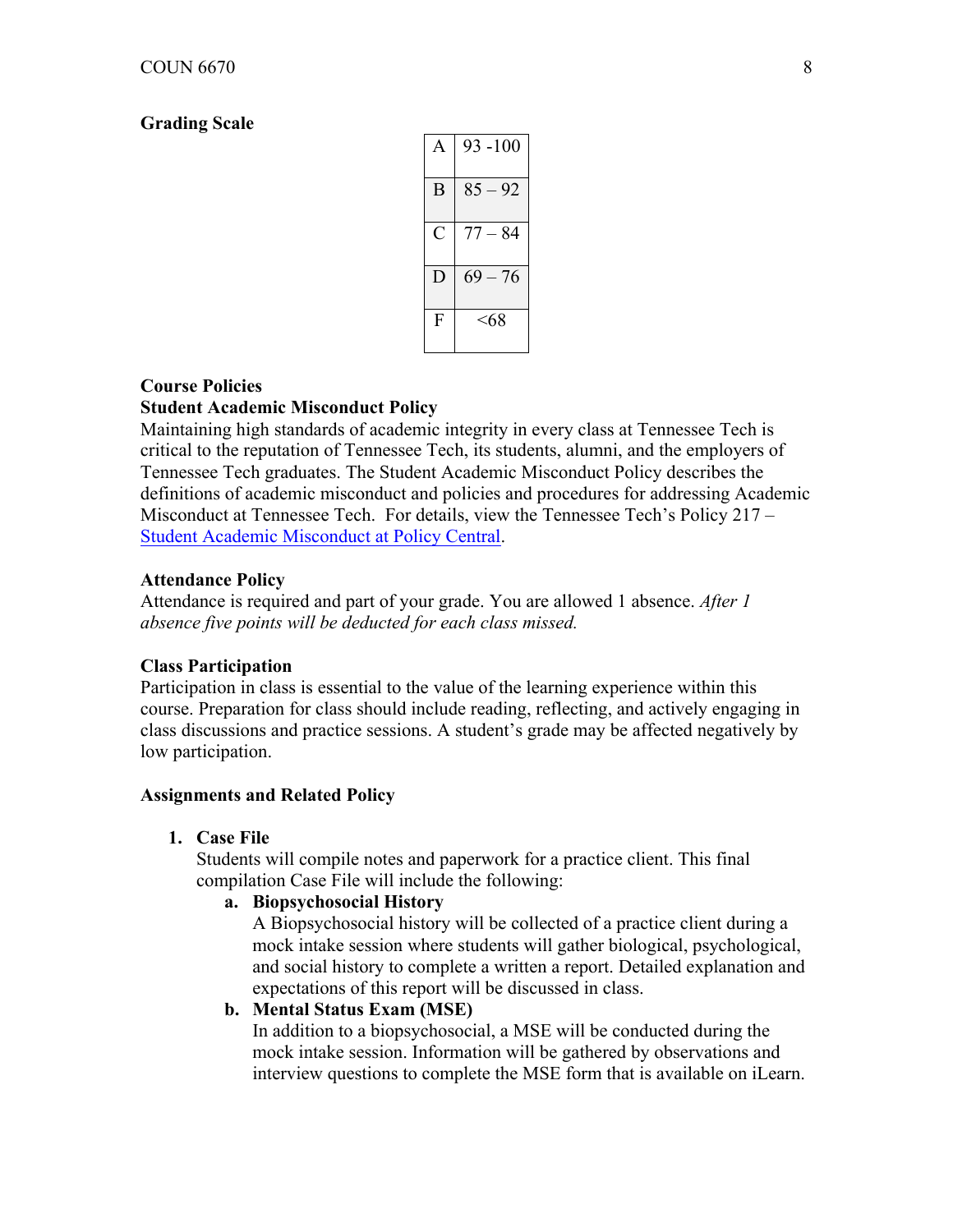#### **Grading Scale**

| A | $93 - 100$ |
|---|------------|
| B | $85 - 92$  |
| C | $77 - 84$  |
|   | $69 - 76$  |
| F | <68        |

# **Course Policies Student Academic Misconduct Policy**

Maintaining high standards of academic integrity in every class at Tennessee Tech is critical to the reputation of Tennessee Tech, its students, alumni, and the employers of Tennessee Tech graduates. The Student Academic Misconduct Policy describes the definitions of academic misconduct and policies and procedures for addressing Academic Misconduct at Tennessee Tech. For details, view the Tennessee Tech's Policy 217 – Student Academic Misconduct at Policy Central.

#### **Attendance Policy**

Attendance is required and part of your grade. You are allowed 1 absence. *After 1 absence five points will be deducted for each class missed.* 

#### **Class Participation**

Participation in class is essential to the value of the learning experience within this course. Preparation for class should include reading, reflecting, and actively engaging in class discussions and practice sessions. A student's grade may be affected negatively by low participation.

#### **Assignments and Related Policy**

**1. Case File**

Students will compile notes and paperwork for a practice client. This final compilation Case File will include the following:

#### **a. Biopsychosocial History**

A Biopsychosocial history will be collected of a practice client during a mock intake session where students will gather biological, psychological, and social history to complete a written a report. Detailed explanation and expectations of this report will be discussed in class.

#### **b. Mental Status Exam (MSE)**

In addition to a biopsychosocial, a MSE will be conducted during the mock intake session. Information will be gathered by observations and interview questions to complete the MSE form that is available on iLearn.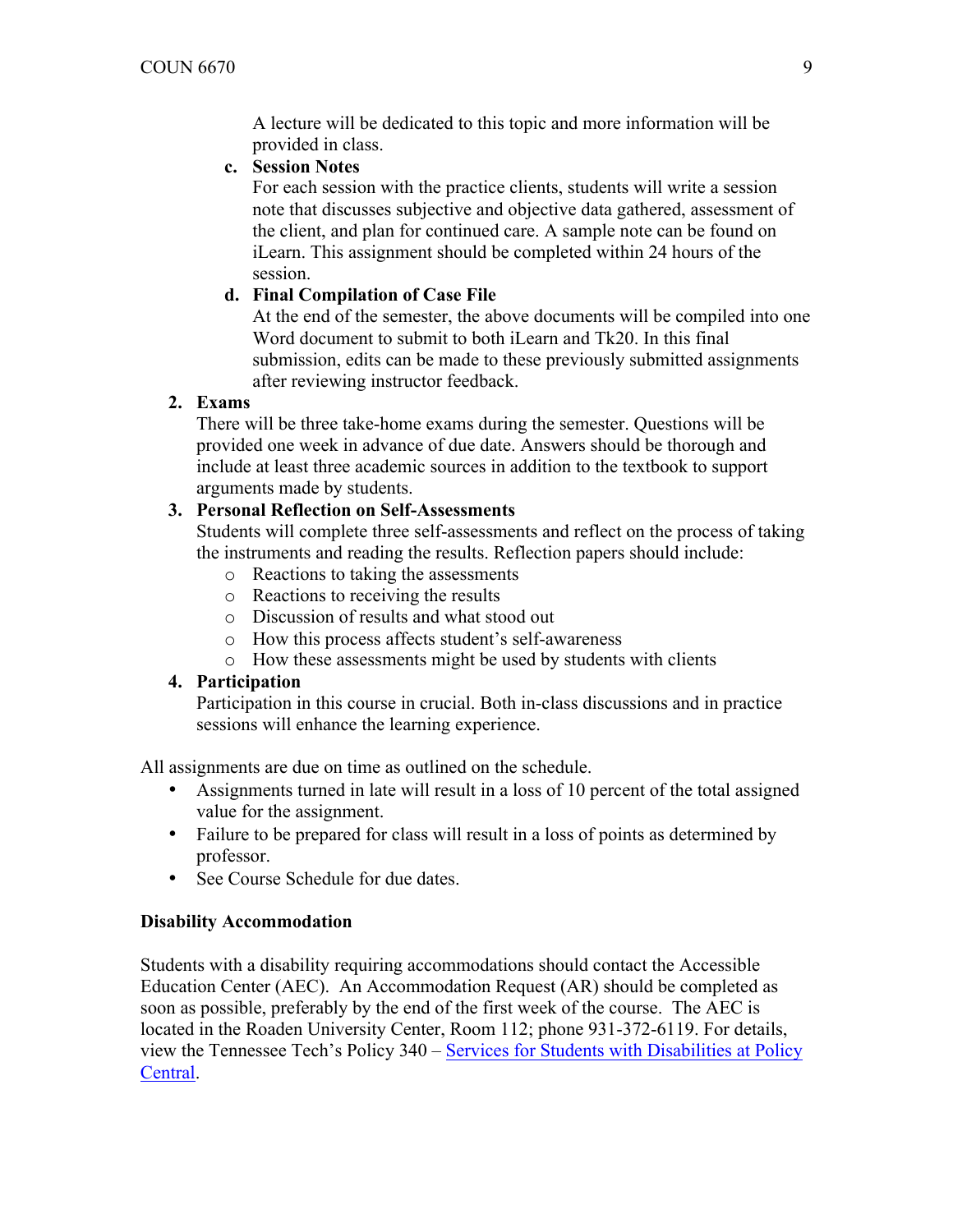A lecture will be dedicated to this topic and more information will be provided in class.

# **c. Session Notes**

For each session with the practice clients, students will write a session note that discusses subjective and objective data gathered, assessment of the client, and plan for continued care. A sample note can be found on iLearn. This assignment should be completed within 24 hours of the session.

# **d. Final Compilation of Case File**

At the end of the semester, the above documents will be compiled into one Word document to submit to both iLearn and Tk20. In this final submission, edits can be made to these previously submitted assignments after reviewing instructor feedback.

# **2. Exams**

There will be three take-home exams during the semester. Questions will be provided one week in advance of due date. Answers should be thorough and include at least three academic sources in addition to the textbook to support arguments made by students.

# **3. Personal Reflection on Self-Assessments**

Students will complete three self-assessments and reflect on the process of taking the instruments and reading the results. Reflection papers should include:

- o Reactions to taking the assessments
- o Reactions to receiving the results
- o Discussion of results and what stood out
- o How this process affects student's self-awareness
- o How these assessments might be used by students with clients

### **4. Participation**

Participation in this course in crucial. Both in-class discussions and in practice sessions will enhance the learning experience.

All assignments are due on time as outlined on the schedule.

- Assignments turned in late will result in a loss of 10 percent of the total assigned value for the assignment.
- Failure to be prepared for class will result in a loss of points as determined by professor.
- See Course Schedule for due dates.

### **Disability Accommodation**

Students with a disability requiring accommodations should contact the Accessible Education Center (AEC). An Accommodation Request (AR) should be completed as soon as possible, preferably by the end of the first week of the course. The AEC is located in the Roaden University Center, Room 112; phone 931-372-6119. For details, view the Tennessee Tech's Policy 340 – Services for Students with Disabilities at Policy Central.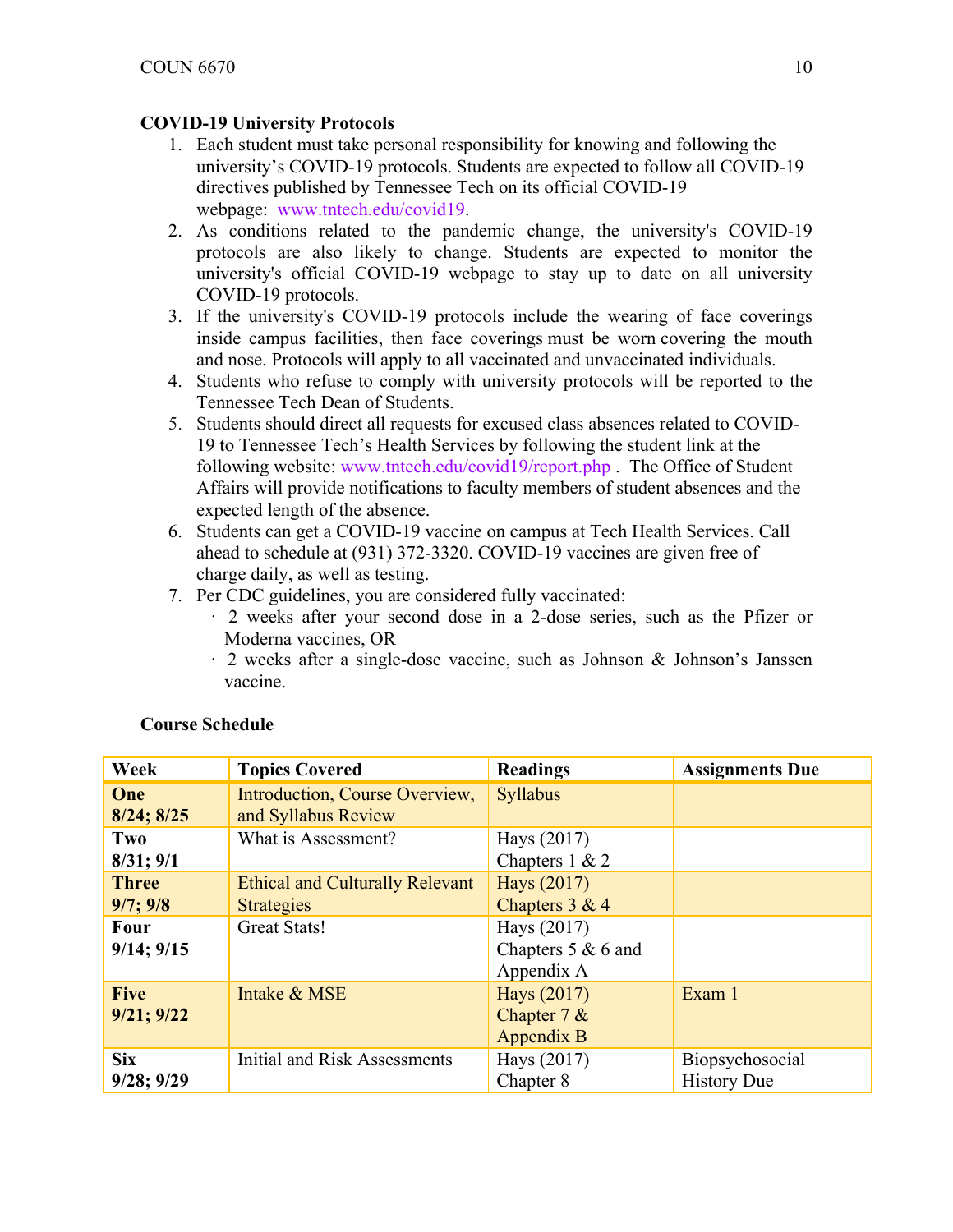# **COVID-19 University Protocols**

- 1. Each student must take personal responsibility for knowing and following the university's COVID-19 protocols. Students are expected to follow all COVID-19 directives published by Tennessee Tech on its official COVID-19 webpage: www.tntech.edu/covid19.
- 2. As conditions related to the pandemic change, the university's COVID-19 protocols are also likely to change. Students are expected to monitor the university's official COVID-19 webpage to stay up to date on all university COVID-19 protocols.
- 3. If the university's COVID-19 protocols include the wearing of face coverings inside campus facilities, then face coverings must be worn covering the mouth and nose. Protocols will apply to all vaccinated and unvaccinated individuals.
- 4. Students who refuse to comply with university protocols will be reported to the Tennessee Tech Dean of Students.
- 5. Students should direct all requests for excused class absences related to COVID-19 to Tennessee Tech's Health Services by following the student link at the following website: www.tntech.edu/covid19/report.php . The Office of Student Affairs will provide notifications to faculty members of student absences and the expected length of the absence.
- 6. Students can get a COVID-19 vaccine on campus at Tech Health Services. Call ahead to schedule at (931) 372-3320. COVID-19 vaccines are given free of charge daily, as well as testing.
- 7. Per CDC guidelines, you are considered fully vaccinated:
	- · 2 weeks after your second dose in a 2-dose series, such as the Pfizer or Moderna vaccines, OR
	- · 2 weeks after a single-dose vaccine, such as Johnson & Johnson's Janssen vaccine.

| Week                             | <b>Topics Covered</b>                                                              | <b>Readings</b>                                | <b>Assignments Due</b>                |
|----------------------------------|------------------------------------------------------------------------------------|------------------------------------------------|---------------------------------------|
| One<br>$8/24$ ; $8/25$           | Introduction, Course Overview,<br>and Syllabus Review                              | <b>Syllabus</b>                                |                                       |
| Two<br>$8/31$ ; $9/1$            | What is Assessment?                                                                | Hays (2017)<br>Chapters $1 & 2$                |                                       |
| <b>Three</b><br>9/7; 9/8<br>Four | <b>Ethical and Culturally Relevant</b><br><b>Strategies</b><br><b>Great Stats!</b> | Hays (2017)<br>Chapters $3 & 4$<br>Hays (2017) |                                       |
| $9/14$ ; $9/15$                  |                                                                                    | Chapters $5 & 6$ and<br>Appendix A             |                                       |
| <b>Five</b><br>$9/21$ ; $9/22$   | Intake & MSE                                                                       | Hays (2017)<br>Chapter $7 &$<br>Appendix B     | Exam 1                                |
| <b>Six</b><br>$9/28$ ; $9/29$    | Initial and Risk Assessments                                                       | Hays (2017)<br>Chapter 8                       | Biopsychosocial<br><b>History Due</b> |

# **Course Schedule**